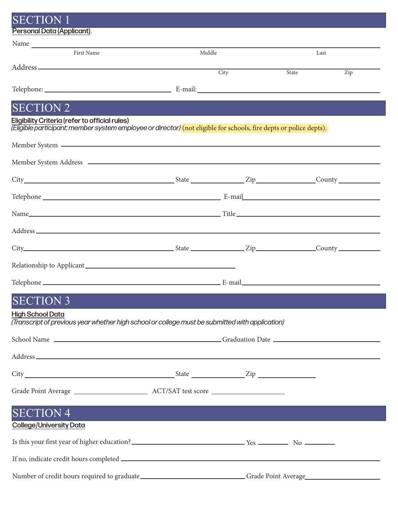| Personal Data (Applicant).<br>First Name<br>Middle<br>Last<br>City<br>$\overline{Zip}$<br>State<br><b>SECTION 2</b><br>(Eligible participant: member system employee or director) (not eligible for schools, fire depts or police depts).<br>$City$ $City$ $Cavity$ $Cavity$ $Cavity$ $Cavity$<br>Relationship to Applicant experience and the set of the set of the set of the set of the set of the set of the set of the set of the set of the set of the set of the set of the set of the set of the set of the set of the s<br><b>SECTION 3</b><br>(Transcript of previous year whether high school or college must be submitted with application)<br><b>SECTION 4</b> | <b>SECTION 1</b>                               |  |  |  |  |  |
|-----------------------------------------------------------------------------------------------------------------------------------------------------------------------------------------------------------------------------------------------------------------------------------------------------------------------------------------------------------------------------------------------------------------------------------------------------------------------------------------------------------------------------------------------------------------------------------------------------------------------------------------------------------------------------|------------------------------------------------|--|--|--|--|--|
|                                                                                                                                                                                                                                                                                                                                                                                                                                                                                                                                                                                                                                                                             |                                                |  |  |  |  |  |
|                                                                                                                                                                                                                                                                                                                                                                                                                                                                                                                                                                                                                                                                             |                                                |  |  |  |  |  |
|                                                                                                                                                                                                                                                                                                                                                                                                                                                                                                                                                                                                                                                                             |                                                |  |  |  |  |  |
|                                                                                                                                                                                                                                                                                                                                                                                                                                                                                                                                                                                                                                                                             |                                                |  |  |  |  |  |
|                                                                                                                                                                                                                                                                                                                                                                                                                                                                                                                                                                                                                                                                             |                                                |  |  |  |  |  |
|                                                                                                                                                                                                                                                                                                                                                                                                                                                                                                                                                                                                                                                                             |                                                |  |  |  |  |  |
|                                                                                                                                                                                                                                                                                                                                                                                                                                                                                                                                                                                                                                                                             |                                                |  |  |  |  |  |
|                                                                                                                                                                                                                                                                                                                                                                                                                                                                                                                                                                                                                                                                             | Eligibility Criteria (refer to official rules) |  |  |  |  |  |
|                                                                                                                                                                                                                                                                                                                                                                                                                                                                                                                                                                                                                                                                             |                                                |  |  |  |  |  |
|                                                                                                                                                                                                                                                                                                                                                                                                                                                                                                                                                                                                                                                                             |                                                |  |  |  |  |  |
|                                                                                                                                                                                                                                                                                                                                                                                                                                                                                                                                                                                                                                                                             |                                                |  |  |  |  |  |
|                                                                                                                                                                                                                                                                                                                                                                                                                                                                                                                                                                                                                                                                             |                                                |  |  |  |  |  |
|                                                                                                                                                                                                                                                                                                                                                                                                                                                                                                                                                                                                                                                                             |                                                |  |  |  |  |  |
|                                                                                                                                                                                                                                                                                                                                                                                                                                                                                                                                                                                                                                                                             |                                                |  |  |  |  |  |
|                                                                                                                                                                                                                                                                                                                                                                                                                                                                                                                                                                                                                                                                             |                                                |  |  |  |  |  |
|                                                                                                                                                                                                                                                                                                                                                                                                                                                                                                                                                                                                                                                                             |                                                |  |  |  |  |  |
|                                                                                                                                                                                                                                                                                                                                                                                                                                                                                                                                                                                                                                                                             |                                                |  |  |  |  |  |
|                                                                                                                                                                                                                                                                                                                                                                                                                                                                                                                                                                                                                                                                             |                                                |  |  |  |  |  |
|                                                                                                                                                                                                                                                                                                                                                                                                                                                                                                                                                                                                                                                                             |                                                |  |  |  |  |  |
|                                                                                                                                                                                                                                                                                                                                                                                                                                                                                                                                                                                                                                                                             |                                                |  |  |  |  |  |
|                                                                                                                                                                                                                                                                                                                                                                                                                                                                                                                                                                                                                                                                             |                                                |  |  |  |  |  |
|                                                                                                                                                                                                                                                                                                                                                                                                                                                                                                                                                                                                                                                                             |                                                |  |  |  |  |  |
|                                                                                                                                                                                                                                                                                                                                                                                                                                                                                                                                                                                                                                                                             | <b>High School Data</b>                        |  |  |  |  |  |
|                                                                                                                                                                                                                                                                                                                                                                                                                                                                                                                                                                                                                                                                             |                                                |  |  |  |  |  |
|                                                                                                                                                                                                                                                                                                                                                                                                                                                                                                                                                                                                                                                                             |                                                |  |  |  |  |  |
|                                                                                                                                                                                                                                                                                                                                                                                                                                                                                                                                                                                                                                                                             |                                                |  |  |  |  |  |
|                                                                                                                                                                                                                                                                                                                                                                                                                                                                                                                                                                                                                                                                             |                                                |  |  |  |  |  |
|                                                                                                                                                                                                                                                                                                                                                                                                                                                                                                                                                                                                                                                                             |                                                |  |  |  |  |  |
|                                                                                                                                                                                                                                                                                                                                                                                                                                                                                                                                                                                                                                                                             |                                                |  |  |  |  |  |
|                                                                                                                                                                                                                                                                                                                                                                                                                                                                                                                                                                                                                                                                             |                                                |  |  |  |  |  |
| <b>College/University Data</b>                                                                                                                                                                                                                                                                                                                                                                                                                                                                                                                                                                                                                                              |                                                |  |  |  |  |  |
|                                                                                                                                                                                                                                                                                                                                                                                                                                                                                                                                                                                                                                                                             |                                                |  |  |  |  |  |
| Is this your first year of higher education?<br><u>Let us a set of the set of the set of the set of the set of the set of the set of the set of the set of the set of the set of the set of the set of the set of the set of the s</u>                                                                                                                                                                                                                                                                                                                                                                                                                                      |                                                |  |  |  |  |  |
|                                                                                                                                                                                                                                                                                                                                                                                                                                                                                                                                                                                                                                                                             |                                                |  |  |  |  |  |
| Number of credit hours required to graduate______________________________Grade Point Average__________________                                                                                                                                                                                                                                                                                                                                                                                                                                                                                                                                                              |                                                |  |  |  |  |  |